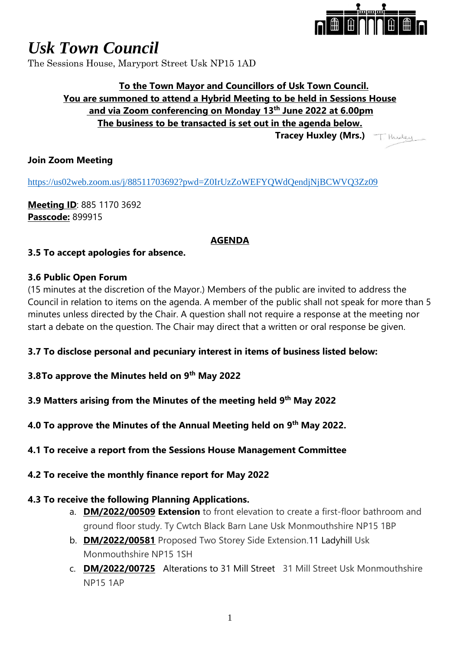

# *Usk Town Council*

The Sessions House, Maryport Street Usk NP15 1AD

## **To the Town Mayor and Councillors of Usk Town Council. You are summoned to attend a Hybrid Meeting to be held in Sessions House and via Zoom conferencing on Monday 13th June 2022 at 6.00pm The business to be transacted is set out in the agenda below. Tracey Huxley (Mrs.)**

## **Join Zoom Meeting**

<https://us02web.zoom.us/j/88511703692?pwd=Z0IrUzZoWEFYQWdQendjNjBCWVQ3Zz09>

**Meeting ID**: 885 1170 3692 **Passcode:** 899915

#### **AGENDA**

#### **3.5 To accept apologies for absence.**

#### **3.6 Public Open Forum**

(15 minutes at the discretion of the Mayor.) Members of the public are invited to address the Council in relation to items on the agenda. A member of the public shall not speak for more than 5 minutes unless directed by the Chair. A question shall not require a response at the meeting nor start a debate on the question. The Chair may direct that a written or oral response be given.

## **3.7 To disclose personal and pecuniary interest in items of business listed below:**

- **3.8To approve the Minutes held on 9 th May 2022**
- **3.9 Matters arising from the Minutes of the meeting held 9 th May 2022**

**4.0 To approve the Minutes of the Annual Meeting held on 9 th May 2022.**

## **4.1 To receive a report from the Sessions House Management Committee**

#### **4.2 To receive the monthly finance report for May 2022**

## **4.3 To receive the following Planning Applications.**

- a. **DM/2022/00509 Extension** to front elevation to create a first-floor bathroom and ground floor study. Ty Cwtch Black Barn Lane Usk Monmouthshire NP15 1BP
- b. **DM/2022/00581** Proposed Two Storey Side Extension.11 Ladyhill Usk Monmouthshire NP15 1SH
- c. **DM/2022/00725** Alterations to 31 Mill Street31 Mill Street Usk Monmouthshire NP15 1AP